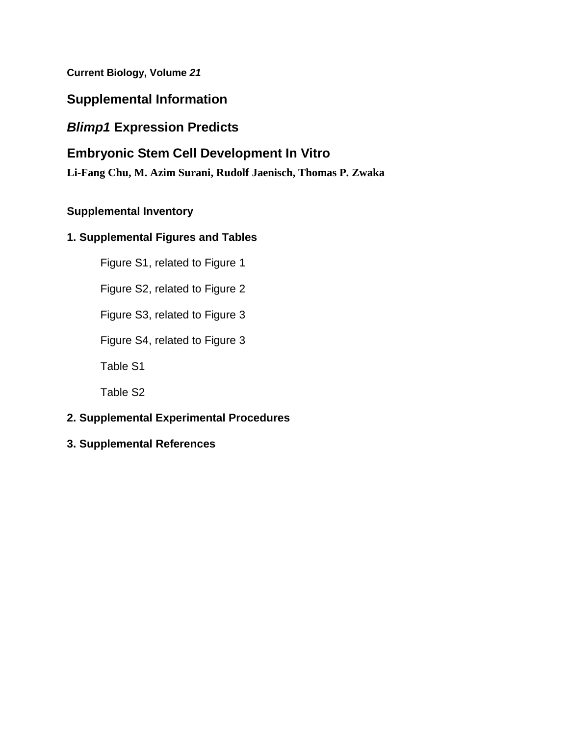**Current Biology, Volume** *21*

# **Supplemental Information**

# *Blimp1* **Expression Predicts**

# **Embryonic Stem Cell Development In Vitro**

**Li-Fang Chu, M. Azim Surani, Rudolf Jaenisch, Thomas P. Zwaka**

## **Supplemental Inventory**

## **1. Supplemental Figures and Tables**

Figure S1, related to Figure 1

Figure S2, related to Figure 2

Figure S3, related to Figure 3

Figure S4, related to Figure 3

Table S1

Table S2

## **2. Supplemental Experimental Procedures**

**3. Supplemental References**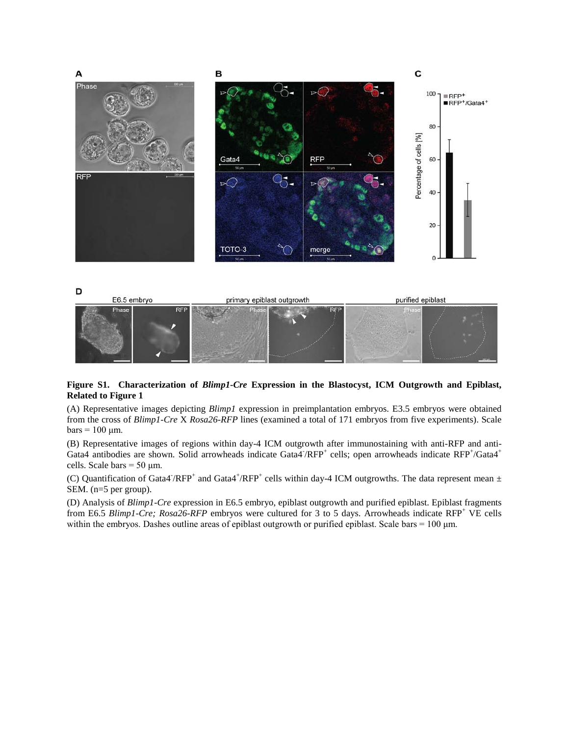

### **Figure S1. Characterization of** *Blimp1-Cre* **Expression in the Blastocyst, ICM Outgrowth and Epiblast, Related to Figure 1**

(A) Representative images depicting *Blimp1* expression in preimplantation embryos. E3.5 embryos were obtained from the cross of *Blimp1-Cre* X *Rosa26-RFP* lines (examined a total of 171 embryos from five experiments). Scale  $bars = 100 \mu m$ .

(B) Representative images of regions within day-4 ICM outgrowth after immunostaining with anti-RFP and anti-Gata4 antibodies are shown. Solid arrowheads indicate Gata4<sup>-</sup>/RFP<sup>+</sup> cells; open arrowheads indicate RFP<sup>+</sup>/Gata4<sup>+</sup> cells. Scale bars =  $50 \mu m$ .

(C) Quantification of Gata4<sup>-</sup>/RFP<sup>+</sup> and Gata4<sup>+</sup>/RFP<sup>+</sup> cells within day-4 ICM outgrowths. The data represent mean  $\pm$ SEM. (n=5 per group).

(D) Analysis of *Blimp1-Cre* expression in E6.5 embryo, epiblast outgrowth and purified epiblast. Epiblast fragments from E6.5 *Blimp1-Cre; Rosa26-RFP* embryos were cultured for 3 to 5 days. Arrowheads indicate RFP<sup>+</sup> VE cells within the embryos. Dashes outline areas of epiblast outgrowth or purified epiblast. Scale bars =  $100 \mu m$ .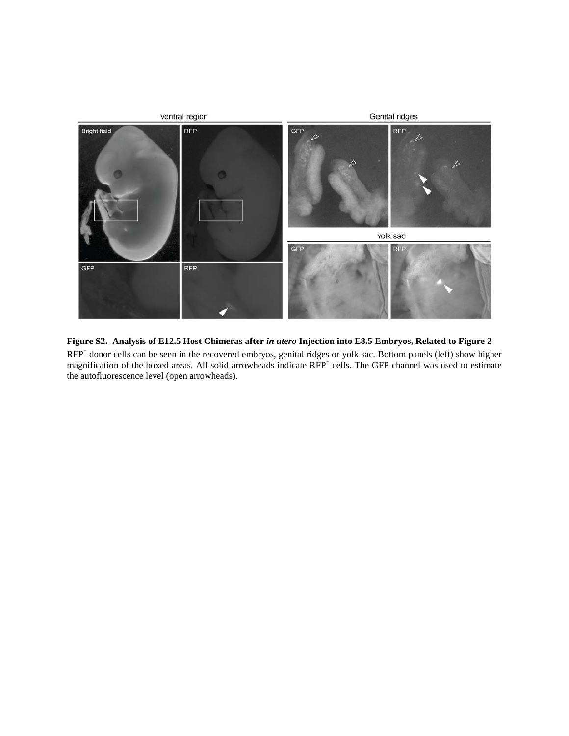

**Figure S2. Analysis of E12.5 Host Chimeras after** *in utero* **Injection into E8.5 Embryos, Related to Figure 2** RFP<sup>+</sup> donor cells can be seen in the recovered embryos, genital ridges or yolk sac. Bottom panels (left) show higher magnification of the boxed areas. All solid arrowheads indicate RFP<sup>+</sup> cells. The GFP channel was used to estimate the autofluorescence level (open arrowheads).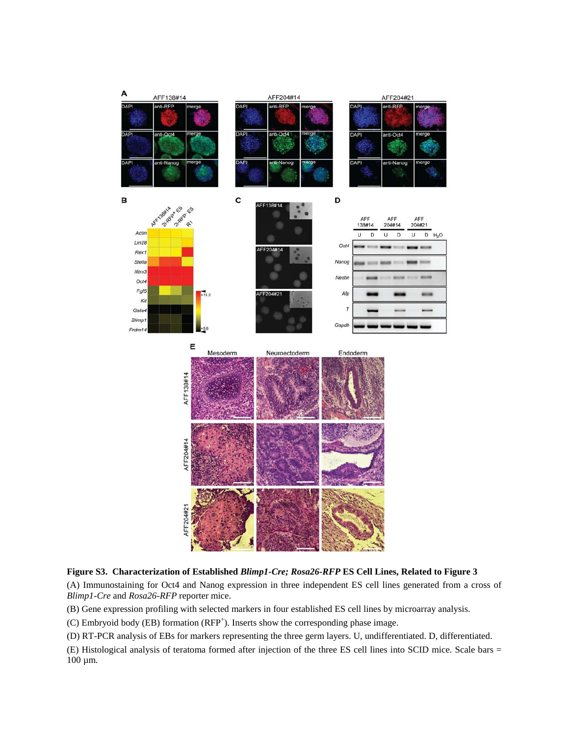

**Figure S3. Characterization of Established** *Blimp1-Cre; Rosa26-RFP* **ES Cell Lines, Related to Figure 3**

(A) Immunostaining for Oct4 and Nanog expression in three independent ES cell lines generated from a cross of *Blimp1-Cre* and *Rosa26-RFP* reporter mice.

(B) Gene expression profiling with selected markers in four established ES cell lines by microarray analysis.

(C) Embryoid body (EB) formation (RFP<sup>+</sup>). Inserts show the corresponding phase image.

(D) RT-PCR analysis of EBs for markers representing the three germ layers. U, undifferentiated. D, differentiated.

(E) Histological analysis of teratoma formed after injection of the three ES cell lines into SCID mice. Scale bars = 100 µm.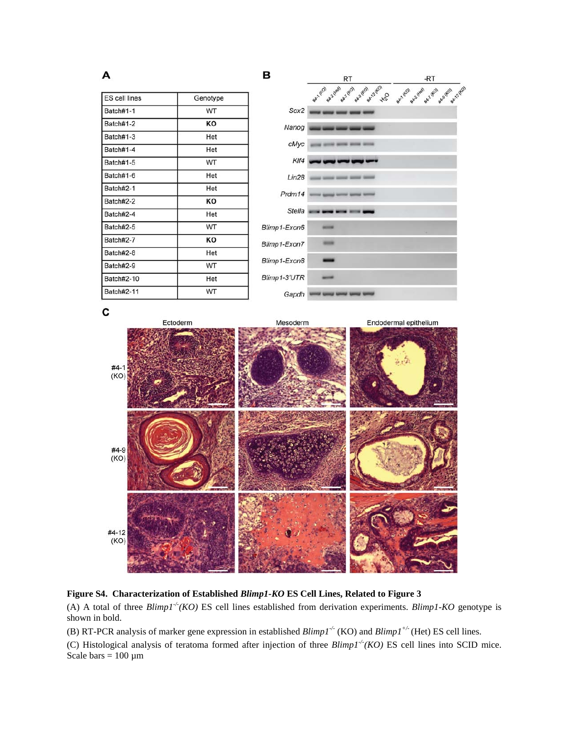| <b>ES</b> cell lines | Genotype |  |
|----------------------|----------|--|
| Batch#1-1            | WT       |  |
| Batch#1-2            | KO       |  |
| Batch#1-3            | Het      |  |
| Batch#1-4            | Het      |  |
| Batch#1-5            | WT       |  |
| Batch#1-6            | Het      |  |
| Batch#2-1            | Het      |  |
| Batch#2-2            | KO       |  |
| Batch#2-4            | Het      |  |
| Batch#2-5            | WT       |  |
| Batch#2-7            | ĸο       |  |
| Batch#2-8            | Het      |  |
| Batch#2-9            | WT       |  |
| Batch#2-10           | Het      |  |
| <b>Batch#2-11</b>    | WT       |  |



C

A



## **Figure S4. Characterization of Established** *Blimp1-KO* **ES Cell Lines, Related to Figure 3**

(A) A total of three  $Blimp1<sup>-/-</sup>(KO)$  ES cell lines established from derivation experiments. *Blimp1-KO* genotype is shown in bold.

(B) RT-PCR analysis of marker gene expression in established *Blimp1-/-* (KO) and *Blimp1+/-* (Het) ES cell lines.

(C) Histological analysis of teratoma formed after injection of three  $Blimp1<sup>-/-</sup>(KO)$  ES cell lines into SCID mice. Scale bars =  $100 \mu m$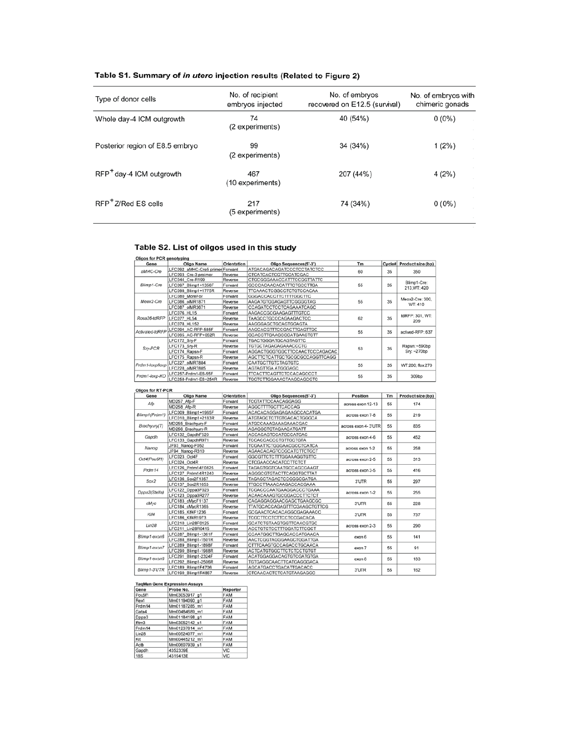| Type of donor cells                  | No. of recipient<br>embryos injected | No. of embryos<br>recovered on E12.5 (survival) | No. of embryos with<br>chimeric gonads |
|--------------------------------------|--------------------------------------|-------------------------------------------------|----------------------------------------|
| Whole day-4 ICM outgrowth            | 74<br>(2 experiments)                | 40 (54%)                                        | $0(0\%)$                               |
| Posterior region of E8.5 embryo      | 99<br>(2 experiments)                | 34 (34%)                                        | 1(2%)                                  |
| RFP <sup>+</sup> day-4 ICM outgrowth | 467<br>(10 experiments)              | 207 (44%)                                       | 4 (2%)                                 |
| RFP <sup>+</sup> Z/Red ES cells      | 217<br>(5 experiments)               | 74 (34%)                                        | $0(0\%)$                               |

## Table S1. Summary of in utero injection results (Related to Figure 2)

## Table S2. List of oilgos used in this study

| Oligos for PCR genotyping |                                 |             |                                 |          |        |                              |  |
|---------------------------|---------------------------------|-------------|---------------------------------|----------|--------|------------------------------|--|
| Gene                      | Oligo Name                      | Orientation | Oligo Sequences(5'-3')          | Tm       | Cycle# | Product size (bp)            |  |
| aMHC-Cre                  | LFC092 aMHC-Cre5 primer Forward |             | ATGACAGACAGATCCCTCCTATCTCC      | 60       | 35     | 350                          |  |
|                           | LFC093 Cre-3 preimer            | Reverse     | CTCATCACTCGTTGCATCGAC           |          |        |                              |  |
| Blimp1-Cre                | LFC044 Cre-R199                 | Reverse     | CTGCGGGAAACCATTTCCGGTTATTC      |          | 35     | Blimp1-Cre:<br>213.WT: 420   |  |
|                           | LFC097 Blimp1+1356F             | Forward     | GCCCACAACACATTTCTGCCTTGA        | 55       |        |                              |  |
|                           | LFC098 Blimp1+1775R             | Reverse     | TTCAAACTCGGCCTCTGTCCACAA        |          |        |                              |  |
|                           | LFC080 MoreFor                  | Forward     | <b>GGGACCACCTTCTTTTGGCTTC</b>   |          | 35     | Meox2-Cre: 300.<br>WT: 410   |  |
| Meox2-Cre                 | LFC086 olMR1871                 | Reverse     | AAGATGTGGAGAGTTCGGGGTAG         | 55       |        |                              |  |
|                           | LFC087 olMR3671                 | Reverse     | CCAGATCCTCCTCAGAAATCAGC         |          |        |                              |  |
| Rosa26-tdRFP              | LFC076 HL15                     | Forward     | AAGACCGCGAAGAGTTTGTCC           | 62       | 35     | tdRFP: 301, WT:<br>209       |  |
|                           | LFC077 HL54                     | Reverse     | TAAGCCTGCCCAGAAGACTCC           |          |        |                              |  |
|                           | LFC078 HL152                    | Reverse     | AAGGGAGCTGCAGTGGAGTA            |          |        |                              |  |
| Activated-tdRFP           | LFC094 AC-RFP-585F              | Forward     | AAGCACGTTTCCGACTTGAGTTGC        | 55       | 35     | actived-RFP: 637             |  |
|                           | LFC095 AC-RFP+052R              | Reverse     | <b>GCACCTTGAAGCGCATGAACTCTT</b> |          |        |                              |  |
|                           | LFC172 Srv-F                    | Forward     | TGACTGGGATGCAGTAGTTC            |          | 35     | Rapsn: ~590bp<br>Sry: ~270bp |  |
| Sn-PCR                    | LFC173 Sry-R                    | Reverse     | TGTGCTAGAGAGAAACCCTG            | 53       |        |                              |  |
|                           | LFC174 Rapsn-F                  | Forward     | AGGACTGGGTGGCTTCCAACTCCCAGACAC  |          |        |                              |  |
|                           | LFC175 Rapsn-R                  | Reverse     | AGCTTCTCATTGCTGCGCGCCAGGTTCAGG  |          |        |                              |  |
| Prdm1-loxp/loxp           | LFC227 olMR7884                 | Forward     | <b>CAATGCTTGTCTAGTGTC</b>       | 55       | 35     | WT:200; flox:270             |  |
|                           | LFC228 olMR7885                 | Reverse     | AGTAGTTGA ATGGGAGC              |          |        |                              |  |
| Prdm1-loxp-KO             | LFC257-Prdm1-E6-55F             | Forward     | <b>TTCACTTCAGTTCTCCACAGCCCT</b> | 55<br>35 |        |                              |  |
|                           | LFC258-Prdm1-E6+254R            | Reverse     | <b>TGGTCTTGGAAACTAAGCAGCGTC</b> |          |        | 309bp                        |  |

| Gene          | Oligo Name          | Orientation                       | Oligo Sequences(5'-3')          | Position            | Tm        | Product size (bp) |
|---------------|---------------------|-----------------------------------|---------------------------------|---------------------|-----------|-------------------|
| Afp           | MD257 Afp-F         | Forward                           | <b>TCGTATTCCAACAGGAGG</b>       | across exon 12-13   | 55        | 174               |
|               | MD258 Afp-R         | Reverse                           | AGGCTTTTGCTTCACCAG              |                     |           |                   |
| Blimp1(Prdm1) | LFC009 Blimp1+1965F | Forward                           | ACACACAGGAGAGAAGCCACATGA        | across exon 7-8     | 55        | 219               |
|               | LFC010 Blimp1+2183R | Reverse                           | ATGTAGCTCTTGTGACACTGGGCA        |                     |           |                   |
| Brachyury(T)  | MD255 Brachyury-F   | Forward                           | ATGCCAAAGAAAGAAACGAC            | across exon 4-3'UTR | 55        | 835               |
|               | MD256 Brachyury-R   | Reverse                           | AGAGGCTGTAGAACATGATT            |                     |           |                   |
| Gapdh         | LFC132 GapdhF520    | Forward                           | <b>ACCACAGTCCATGCCATCAC</b>     | across exon 4-6     | 55        | 452               |
|               | LFC133 GapdhR971    | Reverse                           | <b>TCCACCACCCTGTTGCTGTA</b>     |                     |           |                   |
| Nanog         | JF93 Nanog-F052     | Forward                           | <b>TCGAATTCTGGGAACGCCTCATCA</b> | across exon 1-2     | 55        | 258               |
|               | JF94 Nanog-R310     | Reverse                           | AGAACACAGTCCGCATCTTCTGCT        |                     |           |                   |
| Oct4(Pou5f1)  | LFC023 Oct4F        | Forward                           | GGCGTTCTCTTTGGAAAGGTGTTC        | across exon 2-5     | 55        | 313               |
|               | LFC024 Oct4R        | Reverse                           | CTCGAACCACATCCTTCTCT            |                     |           |                   |
| Prdm14        | LFC126 Prdm14F0825  | Forward                           | TAGAGTGGTCAATGCCAGCGAAGT        | across exon 3-5     | 55        | 416               |
|               | LFC127 Prdm14R1240  | Reverse                           | AGGGCGTGTACTTCAGGTGCTTAT        |                     |           |                   |
| Sox2          | LFC136 Sox2F1357    | Forward                           | TAGAGCTAGACTCCGGGCGATGA         | 3'UTR               | 55        | 297               |
|               | LFC137 Sox2R1653    | Reverse                           | TTGCCTTAAACAAGACCACGAAA         |                     |           |                   |
| Dopa3(Stella) | LFC122 Dppa3F023    | Forward                           | TCGACCCAATGAAGGACCCTGAAA        |                     | 55        | 255               |
|               | LFC123 Dppa3R277    | Reverse                           | ACAACAAAGTGCGGACCCTTCTCT        | across exon 1-2     |           |                   |
| cMyc          | LFC183 cMycF1137    | Forward                           | CAGAGGAGGAACGAGCTGAAGCGC        | 3'UTR               | 55        | 228               |
|               | LFC184 cMycR1365    | Reverse                           | TTATGCACCAGAGTTTCGAAGCTGTTCG    |                     |           |                   |
| Kif4          | LFC185 KIf4F1236    | Forward                           | GCGAACTCACACAGGCGAGAAACC        | 3'UTR               | 55        | 737               |
|               | LFC186 KII4R1973    | Reverse                           | <b>TCGCTTCCTCTTCCTCCGACACA</b>  |                     |           |                   |
| Lin28         | LFC210 Lin28F0125   | Forward                           | <b>GCATCTGTAAGTGGTTCAACGTGC</b> | across exon 2-3     | 55<br>290 |                   |
|               | LFC211 Lin28R0415   | Reverse                           | ACCTGTCTCCTTTGGATCTTCGCT        |                     |           |                   |
| Blimp1-exon6  | LFC287 Blimp1-1361F | Forward                           | CCAATGGCTTGAGCACCATGAACA        | exon 6              | 55        | 141               |
|               | LFC288 Blimp1-1501R | Reverse                           | AACTCGGTAGGGAAGCTGGATTGA        |                     |           |                   |
| Blimp1-exon7  | LFC289 Blimp1-1898F | Forward                           | CTTTCAAGTGCCAGACCTGCAACA        | exon 7              | 55        | 91                |
|               | LFC290 Blimp1-1988R | Reverse                           | <b>ACTCATGTGGCTTCTCTCCTGTGT</b> |                     |           |                   |
| Blimp1-exon8  | LFC291 Blimp1-2324F | Forward                           | ACATGGAGGACAGTGTCGATGTGA        | exon 8              | 55        | 183               |
|               | LFC292_Blimp1-2506R | Reverse                           | <b>TGTGAGGCAACTTCATGAGGGACA</b> |                     |           |                   |
| Blimp1-3'UTR  | LFC189 Blimp1F4706  | Forward<br>AGCATGACCTGACATTGACACC | 3'UTR                           | 55                  | 162       |                   |
|               | LFC190 Blimp1R4867  | Reverse                           | <b>CTCAACACTCTCATGTAAGAGGC</b>  |                     |           |                   |

## TaqMan Gene Expression Assays<br>Γ⊆ene Γραβεινο Γραβεινού Γκαραστου

| Gene   | Prope No.     | Reporter   |
|--------|---------------|------------|
| Pou5f1 | Mm03053917 g1 | <b>FAM</b> |
| Rex1   | Mm01194090 g1 | FAM        |
| Prdm14 | Mm01187285 m1 | FAM        |
| Gata4  | Mm00484689 m1 | <b>FAM</b> |
| Dppa3  | Mm01184198 g1 | <b>FAM</b> |
| lfitm3 | Mm03052142 s1 | <b>FAM</b> |
| Prdm14 | Mm01237814 m1 | FAM        |
| Lin28  | Mm00524077 m1 | <b>FAM</b> |
| Kit    | Mm00445212 m1 | <b>FAM</b> |
| Actb   | Mm00607939 s1 | FAM        |
| Gapdh  | 4352339E      | VIC        |
| 18S    | 4319413E      | VIC.       |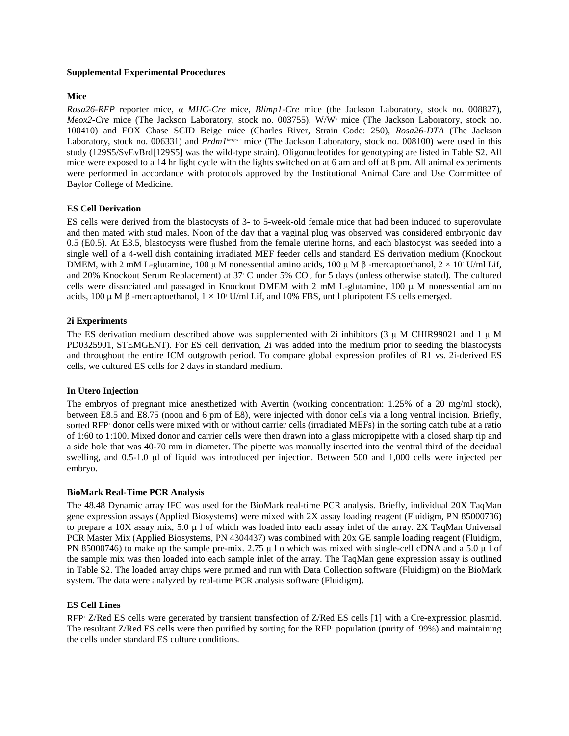## **Supplemental Experimental Procedures**

## **Mice**

*Rosa26-RFP* reporter mice, α *MHC-Cre* mice, *Blimp1-Cre* mice (the Jackson Laboratory, stock no. 008827), *Meox2-Cre* mice (The Jackson Laboratory, stock no. 003755), W/W<sup>v</sup> mice (The Jackson Laboratory, stock no. 100410) and FOX Chase SCID Beige mice (Charles River, Strain Code: 250), *Rosa26-DTA* (The Jackson Laboratory, stock no. 006331) and *Prdm1*<sup>loxPoxP</sup> mice (The Jackson Laboratory, stock no. 008100) were used in this study (129S5/SvEvBrd[129S5] was the wild-type strain). Oligonucleotides for genotyping are listed in Table S2. All mice were exposed to a 14 hr light cycle with the lights switched on at 6 am and off at 8 pm. All animal experiments were performed in accordance with protocols approved by the Institutional Animal Care and Use Committee of Baylor College of Medicine.

## **ES Cell Derivation**

ES cells were derived from the blastocysts of 3- to 5-week-old female mice that had been induced to superovulate and then mated with stud males. Noon of the day that a vaginal plug was observed was considered embryonic day 0.5 (E0.5). At E3.5, blastocysts were flushed from the female uterine horns, and each blastocyst was seeded into a single well of a 4-well dish containing irradiated MEF feeder cells and standard ES derivation medium (Knockout DMEM, with 2 mM L-glutamine, 100 μ M nonessential amino acids, 100 μ M  $\beta$  -mercaptoethanol,  $2 \times 10$ <sup>3</sup> U/ml Lif, and 20% Knockout Serum Replacement) at 37° C under 5% CO 2 for 5 days (unless otherwise stated). The cultured cells were dissociated and passaged in Knockout DMEM with 2 mM L-glutamine, 100 μ M nonessential amino acids, 100 μ M β -mercaptoethanol,  $1 \times 10$ <sup>3</sup> U/ml Lif, and 10% FBS, until pluripotent ES cells emerged.

## **2i Experiments**

The ES derivation medium described above was supplemented with 2i inhibitors (3  $\mu$  M CHIR99021 and 1  $\mu$  M PD0325901, STEMGENT). For ES cell derivation, 2i was added into the medium prior to seeding the blastocysts and throughout the entire ICM outgrowth period. To compare global expression profiles of R1 vs. 2i-derived ES cells, we cultured ES cells for 2 days in standard medium.

## **In Utero Injection**

The embryos of pregnant mice anesthetized with Avertin (working concentration: 1.25% of a 20 mg/ml stock), between E8.5 and E8.75 (noon and 6 pm of E8), were injected with donor cells via a long ventral incision. Briefly, sorted RFP<sup>+</sup> donor cells were mixed with or without carrier cells (irradiated MEFs) in the sorting catch tube at a ratio of 1:60 to 1:100. Mixed donor and carrier cells were then drawn into a glass micropipette with a closed sharp tip and a side hole that was 40-70 mm in diameter. The pipette was manually inserted into the ventral third of the decidual swelling, and 0.5-1.0 μl of liquid was introduced per injection. Between 500 and 1,000 cells were injected per embryo.

#### **BioMark Real-Time PCR Analysis**

The 48.48 Dynamic array IFC was used for the BioMark real-time PCR analysis. Briefly, individual 20X TaqMan gene expression assays (Applied Biosystems) were mixed with 2X assay loading reagent (Fluidigm, PN 85000736) to prepare a  $10X$  assay mix,  $5.0 \mu 1$  of which was loaded into each assay inlet of the array. 2X TaqMan Universal PCR Master Mix (Applied Biosystems, PN 4304437) was combined with 20x GE sample loading reagent (Fluidigm, PN 85000746) to make up the sample pre-mix. 2.75 μ l o which was mixed with single-cell cDNA and a 5.0 μ l of the sample mix was then loaded into each sample inlet of the array. The TaqMan gene expression assay is outlined in Table S2. The loaded array chips were primed and run with Data Collection software (Fluidigm) on the BioMark system. The data were analyzed by real-time PCR analysis software (Fluidigm).

#### **ES Cell Lines**

RFP<sup>+</sup> Z/Red ES cells were generated by transient transfection of Z/Red ES cells [\[1\]](#page-8-0) with a Cre-expression plasmid. The resultant Z/Red ES cells were then purified by sorting for the RFP+ population (purity of 99%) and maintaining the cells under standard ES culture conditions.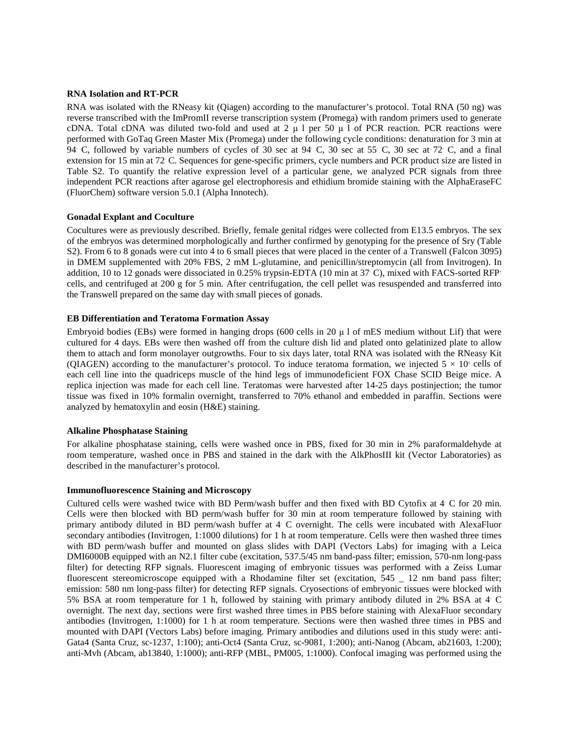#### **RNA Isolation and RT-PCR**

RNA was isolated with the RNeasy kit (Qiagen) according to the manufacturer's protocol. Total RNA (50 ng) was reverse transcribed with the ImPromII reverse transcription system (Promega) with random primers used to generate cDNA. Total cDNA was diluted two-fold and used at 2  $\mu$  l per 50  $\mu$  l of PCR reaction. PCR reactions were performed with GoTaq Green Master Mix (Promega) under the following cycle conditions: denaturation for 3 min at 94<sup>∘</sup> C, followed by variable numbers of cycles of 30 sec at 94<sup>∘</sup> C, 30 sec at 55<sup>∘</sup> C, 30 sec at 72<sup>∘</sup> C, and a final extension for 15 min at 72<sup>∘</sup> C. Sequences for gene-specific primers, cycle numbers and PCR product size are listed in Table S2. To quantify the relative expression level of a particular gene, we analyzed PCR signals from three independent PCR reactions after agarose gel electrophoresis and ethidium bromide staining with the AlphaEraseFC (FluorChem) software version 5.0.1 (Alpha Innotech).

#### **Gonadal Explant and Coculture**

Cocultures were as previously described. Briefly, female genital ridges were collected from E13.5 embryos. The sex of the embryos was determined morphologically and further confirmed by genotyping for the presence of Sry (Table S2). From 6 to 8 gonads were cut into 4 to 6 small pieces that were placed in the center of a Transwell (Falcon 3095) in DMEM supplemented with 20% FBS, 2 mM L-glutamine, and penicillin/streptomycin (all from Invitrogen). In addition, 10 to 12 gonads were dissociated in 0.25% trypsin-EDTA (10 min at 37<sup>∘</sup> C), mixed with FACS-sorted RFP+ cells, and centrifuged at 200 g for 5 min. After centrifugation, the cell pellet was resuspended and transferred into the Transwell prepared on the same day with small pieces of gonads.

#### **EB Differentiation and Teratoma Formation Assay**

Embryoid bodies (EBs) were formed in hanging drops (600 cells in 20 μ l of mES medium without Lif) that were cultured for 4 days. EBs were then washed off from the culture dish lid and plated onto gelatinized plate to allow them to attach and form monolayer outgrowths. Four to six days later, total RNA was isolated with the RNeasy Kit (QIAGEN) according to the manufacturer's protocol. To induce teratoma formation, we injected  $5 \times 10^5$  cells of each cell line into the quadriceps muscle of the hind legs of immunodeficient FOX Chase SCID Beige mice. A replica injection was made for each cell line. Teratomas were harvested after 14-25 days postinjection; the tumor tissue was fixed in 10% formalin overnight, transferred to 70% ethanol and embedded in paraffin. Sections were analyzed by hematoxylin and eosin (H&E) staining.

#### **Alkaline Phosphatase Staining**

For alkaline phosphatase staining, cells were washed once in PBS, fixed for 30 min in 2% paraformaldehyde at room temperature, washed once in PBS and stained in the dark with the AlkPhosIII kit (Vector Laboratories) as described in the manufacturer's protocol.

#### **Immunofluorescence Staining and Microscopy**

Cultured cells were washed twice with BD Perm/wash buffer and then fixed with BD Cytofix at 4<sup>∘</sup> C for 20 min. Cells were then blocked with BD perm/wash buffer for 30 min at room temperature followed by staining with primary antibody diluted in BD perm/wash buffer at 4<sup>∘</sup> C overnight. The cells were incubated with AlexaFluor secondary antibodies (Invitrogen, 1:1000 dilutions) for 1 h at room temperature. Cells were then washed three times with BD perm/wash buffer and mounted on glass slides with DAPI (Vectors Labs) for imaging with a Leica DMI6000B equipped with an N2.1 filter cube (excitation, 537.5/45 nm band-pass filter; emission, 570-nm long-pass filter) for detecting RFP signals. Fluorescent imaging of embryonic tissues was performed with a Zeiss Lumar fluorescent stereomicroscope equipped with a Rhodamine filter set (excitation, 545 \_ 12 nm band pass filter; emission: 580 nm long-pass filter) for detecting RFP signals. Cryosections of embryonic tissues were blocked with 5% BSA at room temperature for 1 h, followed by staining with primary antibody diluted in 2% BSA at 4<sup>∘</sup> C overnight. The next day, sections were first washed three times in PBS before staining with AlexaFluor secondary antibodies (Invitrogen, 1:1000) for 1 h at room temperature. Sections were then washed three times in PBS and mounted with DAPI (Vectors Labs) before imaging. Primary antibodies and dilutions used in this study were: anti-Gata4 (Santa Cruz, sc-1237, 1:100); anti-Oct4 (Santa Cruz, sc-9081, 1:200); anti-Nanog (Abcam, ab21603, 1:200); anti-Mvh (Abcam, ab13840, 1:1000); anti-RFP (MBL, PM005, 1:1000). Confocal imaging was performed using the